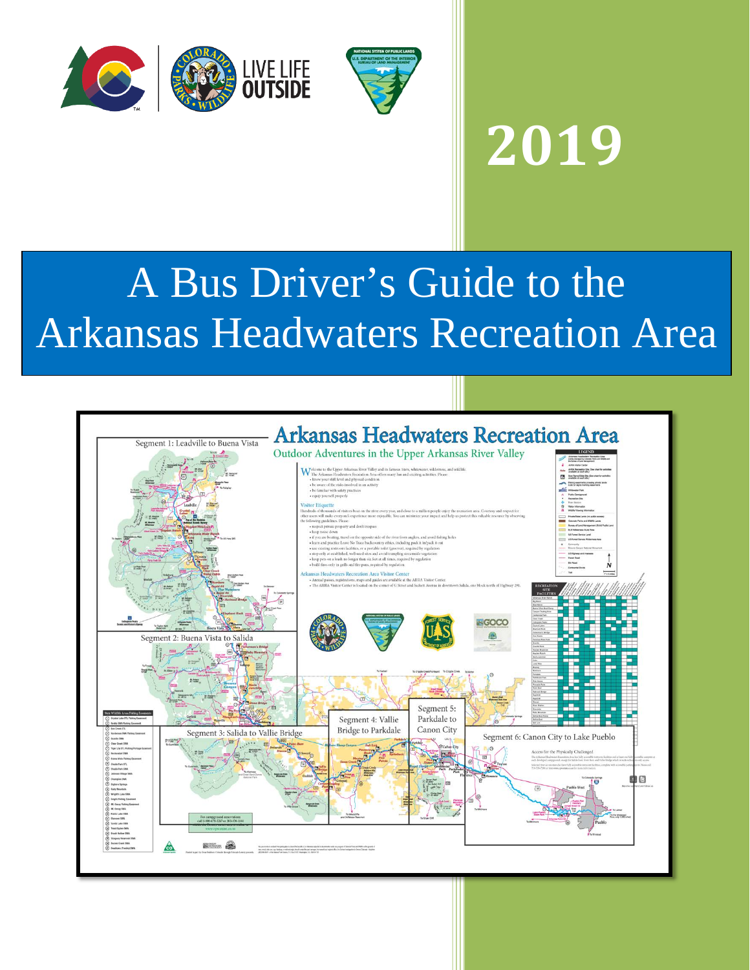



## **2019**

## A Bus Driver's Guide to the Arkansas Headwaters Recreation Area

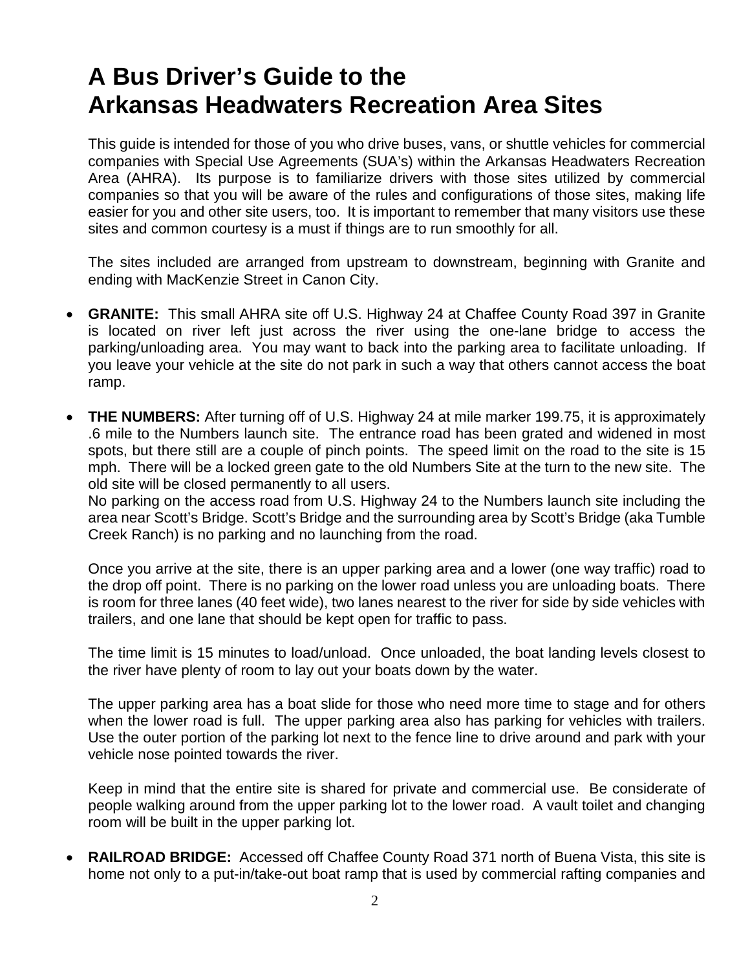## **A Bus Driver's Guide to the Arkansas Headwaters Recreation Area Sites**

This guide is intended for those of you who drive buses, vans, or shuttle vehicles for commercial companies with Special Use Agreements (SUA's) within the Arkansas Headwaters Recreation Area (AHRA). Its purpose is to familiarize drivers with those sites utilized by commercial companies so that you will be aware of the rules and configurations of those sites, making life easier for you and other site users, too. It is important to remember that many visitors use these sites and common courtesy is a must if things are to run smoothly for all.

The sites included are arranged from upstream to downstream, beginning with Granite and ending with MacKenzie Street in Canon City.

- **GRANITE:** This small AHRA site off U.S. Highway 24 at Chaffee County Road 397 in Granite is located on river left just across the river using the one-lane bridge to access the parking/unloading area. You may want to back into the parking area to facilitate unloading. If you leave your vehicle at the site do not park in such a way that others cannot access the boat ramp.
- **THE NUMBERS:** After turning off of U.S. Highway 24 at mile marker 199.75, it is approximately .6 mile to the Numbers launch site. The entrance road has been grated and widened in most spots, but there still are a couple of pinch points. The speed limit on the road to the site is 15 mph. There will be a locked green gate to the old Numbers Site at the turn to the new site. The old site will be closed permanently to all users.

No parking on the access road from U.S. Highway 24 to the Numbers launch site including the area near Scott's Bridge. Scott's Bridge and the surrounding area by Scott's Bridge (aka Tumble Creek Ranch) is no parking and no launching from the road.

Once you arrive at the site, there is an upper parking area and a lower (one way traffic) road to the drop off point. There is no parking on the lower road unless you are unloading boats. There is room for three lanes (40 feet wide), two lanes nearest to the river for side by side vehicles with trailers, and one lane that should be kept open for traffic to pass.

The time limit is 15 minutes to load/unload. Once unloaded, the boat landing levels closest to the river have plenty of room to lay out your boats down by the water.

The upper parking area has a boat slide for those who need more time to stage and for others when the lower road is full. The upper parking area also has parking for vehicles with trailers. Use the outer portion of the parking lot next to the fence line to drive around and park with your vehicle nose pointed towards the river.

Keep in mind that the entire site is shared for private and commercial use. Be considerate of people walking around from the upper parking lot to the lower road. A vault toilet and changing room will be built in the upper parking lot.

• **RAILROAD BRIDGE:** Accessed off Chaffee County Road 371 north of Buena Vista, this site is home not only to a put-in/take-out boat ramp that is used by commercial rafting companies and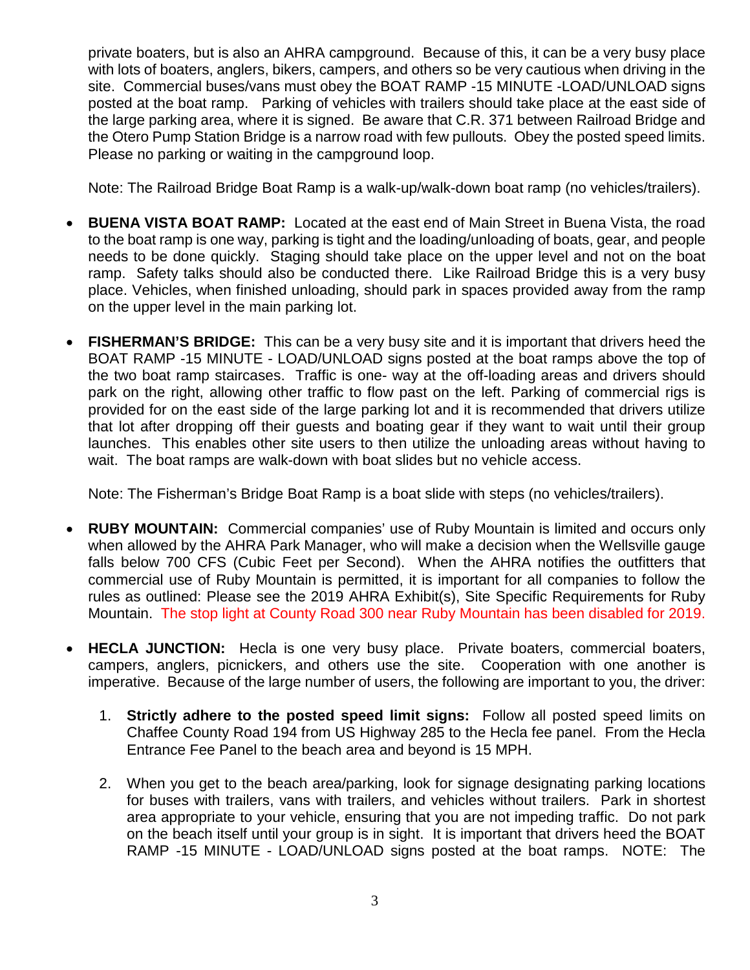private boaters, but is also an AHRA campground. Because of this, it can be a very busy place with lots of boaters, anglers, bikers, campers, and others so be very cautious when driving in the site. Commercial buses/vans must obey the BOAT RAMP -15 MINUTE -LOAD/UNLOAD signs posted at the boat ramp. Parking of vehicles with trailers should take place at the east side of the large parking area, where it is signed. Be aware that C.R. 371 between Railroad Bridge and the Otero Pump Station Bridge is a narrow road with few pullouts. Obey the posted speed limits. Please no parking or waiting in the campground loop.

Note: The Railroad Bridge Boat Ramp is a walk-up/walk-down boat ramp (no vehicles/trailers).

- **BUENA VISTA BOAT RAMP:** Located at the east end of Main Street in Buena Vista, the road to the boat ramp is one way, parking is tight and the loading/unloading of boats, gear, and people needs to be done quickly. Staging should take place on the upper level and not on the boat ramp. Safety talks should also be conducted there. Like Railroad Bridge this is a very busy place. Vehicles, when finished unloading, should park in spaces provided away from the ramp on the upper level in the main parking lot.
- **FISHERMAN'S BRIDGE:** This can be a very busy site and it is important that drivers heed the BOAT RAMP -15 MINUTE - LOAD/UNLOAD signs posted at the boat ramps above the top of the two boat ramp staircases. Traffic is one- way at the off-loading areas and drivers should park on the right, allowing other traffic to flow past on the left. Parking of commercial rigs is provided for on the east side of the large parking lot and it is recommended that drivers utilize that lot after dropping off their guests and boating gear if they want to wait until their group launches. This enables other site users to then utilize the unloading areas without having to wait. The boat ramps are walk-down with boat slides but no vehicle access.

Note: The Fisherman's Bridge Boat Ramp is a boat slide with steps (no vehicles/trailers).

- **RUBY MOUNTAIN:** Commercial companies' use of Ruby Mountain is limited and occurs only when allowed by the AHRA Park Manager, who will make a decision when the Wellsville gauge falls below 700 CFS (Cubic Feet per Second). When the AHRA notifies the outfitters that commercial use of Ruby Mountain is permitted, it is important for all companies to follow the rules as outlined: Please see the 2019 AHRA Exhibit(s), Site Specific Requirements for Ruby Mountain. The stop light at County Road 300 near Ruby Mountain has been disabled for 2019.
- **HECLA JUNCTION:** Hecla is one very busy place. Private boaters, commercial boaters, campers, anglers, picnickers, and others use the site. Cooperation with one another is imperative. Because of the large number of users, the following are important to you, the driver:
	- 1. **Strictly adhere to the posted speed limit signs:** Follow all posted speed limits on Chaffee County Road 194 from US Highway 285 to the Hecla fee panel. From the Hecla Entrance Fee Panel to the beach area and beyond is 15 MPH.
	- 2. When you get to the beach area/parking, look for signage designating parking locations for buses with trailers, vans with trailers, and vehicles without trailers. Park in shortest area appropriate to your vehicle, ensuring that you are not impeding traffic. Do not park on the beach itself until your group is in sight. It is important that drivers heed the BOAT RAMP -15 MINUTE - LOAD/UNLOAD signs posted at the boat ramps. NOTE: The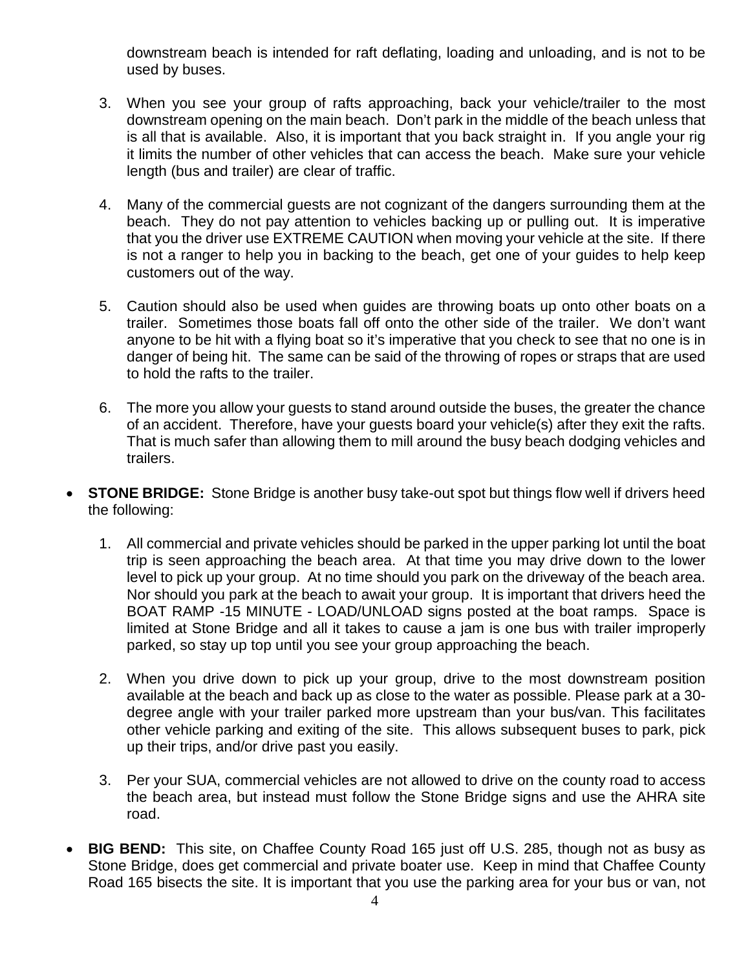downstream beach is intended for raft deflating, loading and unloading, and is not to be used by buses.

- 3. When you see your group of rafts approaching, back your vehicle/trailer to the most downstream opening on the main beach. Don't park in the middle of the beach unless that is all that is available. Also, it is important that you back straight in. If you angle your rig it limits the number of other vehicles that can access the beach. Make sure your vehicle length (bus and trailer) are clear of traffic.
- 4. Many of the commercial guests are not cognizant of the dangers surrounding them at the beach. They do not pay attention to vehicles backing up or pulling out. It is imperative that you the driver use EXTREME CAUTION when moving your vehicle at the site. If there is not a ranger to help you in backing to the beach, get one of your guides to help keep customers out of the way.
- 5. Caution should also be used when guides are throwing boats up onto other boats on a trailer. Sometimes those boats fall off onto the other side of the trailer. We don't want anyone to be hit with a flying boat so it's imperative that you check to see that no one is in danger of being hit. The same can be said of the throwing of ropes or straps that are used to hold the rafts to the trailer.
- 6. The more you allow your guests to stand around outside the buses, the greater the chance of an accident. Therefore, have your guests board your vehicle(s) after they exit the rafts. That is much safer than allowing them to mill around the busy beach dodging vehicles and trailers.
- **STONE BRIDGE:** Stone Bridge is another busy take-out spot but things flow well if drivers heed the following:
	- 1. All commercial and private vehicles should be parked in the upper parking lot until the boat trip is seen approaching the beach area. At that time you may drive down to the lower level to pick up your group. At no time should you park on the driveway of the beach area. Nor should you park at the beach to await your group. It is important that drivers heed the BOAT RAMP -15 MINUTE - LOAD/UNLOAD signs posted at the boat ramps. Space is limited at Stone Bridge and all it takes to cause a jam is one bus with trailer improperly parked, so stay up top until you see your group approaching the beach.
	- 2. When you drive down to pick up your group, drive to the most downstream position available at the beach and back up as close to the water as possible. Please park at a 30 degree angle with your trailer parked more upstream than your bus/van. This facilitates other vehicle parking and exiting of the site. This allows subsequent buses to park, pick up their trips, and/or drive past you easily.
	- 3. Per your SUA, commercial vehicles are not allowed to drive on the county road to access the beach area, but instead must follow the Stone Bridge signs and use the AHRA site road.
- **BIG BEND:** This site, on Chaffee County Road 165 just off U.S. 285, though not as busy as Stone Bridge, does get commercial and private boater use. Keep in mind that Chaffee County Road 165 bisects the site. It is important that you use the parking area for your bus or van, not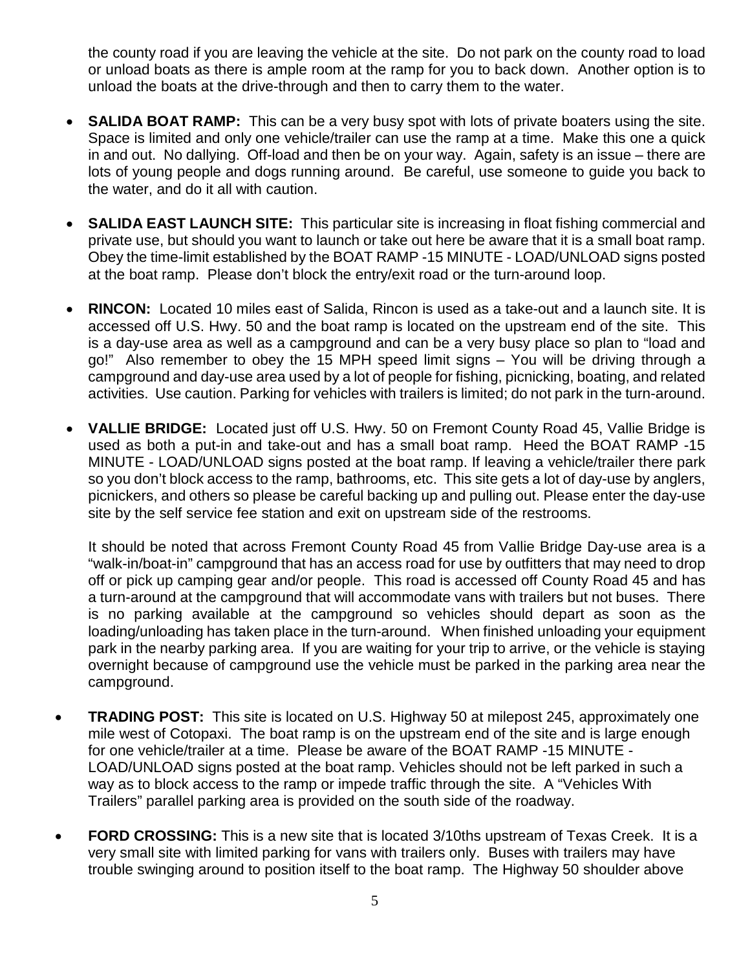the county road if you are leaving the vehicle at the site. Do not park on the county road to load or unload boats as there is ample room at the ramp for you to back down. Another option is to unload the boats at the drive-through and then to carry them to the water.

- **SALIDA BOAT RAMP:** This can be a very busy spot with lots of private boaters using the site. Space is limited and only one vehicle/trailer can use the ramp at a time. Make this one a quick in and out. No dallying. Off-load and then be on your way. Again, safety is an issue – there are lots of young people and dogs running around. Be careful, use someone to guide you back to the water, and do it all with caution.
- **SALIDA EAST LAUNCH SITE:** This particular site is increasing in float fishing commercial and private use, but should you want to launch or take out here be aware that it is a small boat ramp. Obey the time-limit established by the BOAT RAMP -15 MINUTE - LOAD/UNLOAD signs posted at the boat ramp. Please don't block the entry/exit road or the turn-around loop.
- **RINCON:** Located 10 miles east of Salida, Rincon is used as a take-out and a launch site. It is accessed off U.S. Hwy. 50 and the boat ramp is located on the upstream end of the site. This is a day-use area as well as a campground and can be a very busy place so plan to "load and go!" Also remember to obey the 15 MPH speed limit signs – You will be driving through a campground and day-use area used by a lot of people for fishing, picnicking, boating, and related activities. Use caution. Parking for vehicles with trailers is limited; do not park in the turn-around.
- **VALLIE BRIDGE:** Located just off U.S. Hwy. 50 on Fremont County Road 45, Vallie Bridge is used as both a put-in and take-out and has a small boat ramp. Heed the BOAT RAMP -15 MINUTE - LOAD/UNLOAD signs posted at the boat ramp. If leaving a vehicle/trailer there park so you don't block access to the ramp, bathrooms, etc. This site gets a lot of day-use by anglers, picnickers, and others so please be careful backing up and pulling out. Please enter the day-use site by the self service fee station and exit on upstream side of the restrooms.

It should be noted that across Fremont County Road 45 from Vallie Bridge Day-use area is a "walk-in/boat-in" campground that has an access road for use by outfitters that may need to drop off or pick up camping gear and/or people. This road is accessed off County Road 45 and has a turn-around at the campground that will accommodate vans with trailers but not buses. There is no parking available at the campground so vehicles should depart as soon as the loading/unloading has taken place in the turn-around. When finished unloading your equipment park in the nearby parking area. If you are waiting for your trip to arrive, or the vehicle is staying overnight because of campground use the vehicle must be parked in the parking area near the campground.

- **TRADING POST:** This site is located on U.S. Highway 50 at milepost 245, approximately one mile west of Cotopaxi. The boat ramp is on the upstream end of the site and is large enough for one vehicle/trailer at a time. Please be aware of the BOAT RAMP -15 MINUTE - LOAD/UNLOAD signs posted at the boat ramp. Vehicles should not be left parked in such a way as to block access to the ramp or impede traffic through the site. A "Vehicles With Trailers" parallel parking area is provided on the south side of the roadway.
- **FORD CROSSING:** This is a new site that is located 3/10ths upstream of Texas Creek. It is a very small site with limited parking for vans with trailers only. Buses with trailers may have trouble swinging around to position itself to the boat ramp. The Highway 50 shoulder above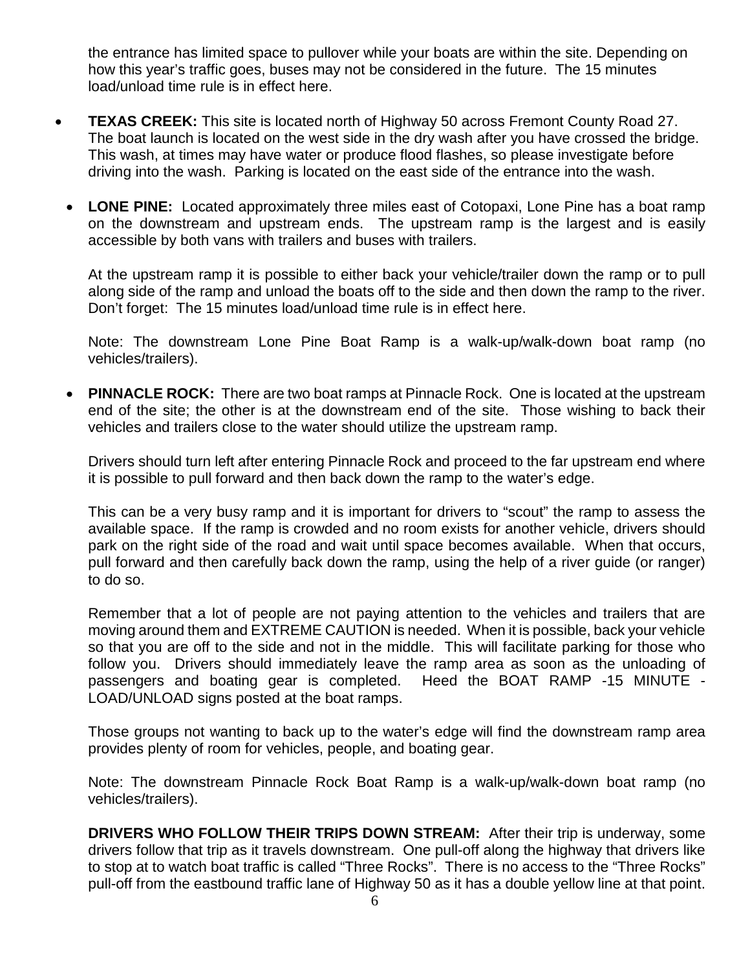the entrance has limited space to pullover while your boats are within the site. Depending on how this year's traffic goes, buses may not be considered in the future. The 15 minutes load/unload time rule is in effect here.

- **TEXAS CREEK:** This site is located north of Highway 50 across Fremont County Road 27. The boat launch is located on the west side in the dry wash after you have crossed the bridge. This wash, at times may have water or produce flood flashes, so please investigate before driving into the wash. Parking is located on the east side of the entrance into the wash.
	- **LONE PINE:** Located approximately three miles east of Cotopaxi, Lone Pine has a boat ramp on the downstream and upstream ends. The upstream ramp is the largest and is easily accessible by both vans with trailers and buses with trailers.

At the upstream ramp it is possible to either back your vehicle/trailer down the ramp or to pull along side of the ramp and unload the boats off to the side and then down the ramp to the river. Don't forget: The 15 minutes load/unload time rule is in effect here.

Note: The downstream Lone Pine Boat Ramp is a walk-up/walk-down boat ramp (no vehicles/trailers).

• **PINNACLE ROCK:** There are two boat ramps at Pinnacle Rock. One is located at the upstream end of the site; the other is at the downstream end of the site. Those wishing to back their vehicles and trailers close to the water should utilize the upstream ramp.

Drivers should turn left after entering Pinnacle Rock and proceed to the far upstream end where it is possible to pull forward and then back down the ramp to the water's edge.

This can be a very busy ramp and it is important for drivers to "scout" the ramp to assess the available space. If the ramp is crowded and no room exists for another vehicle, drivers should park on the right side of the road and wait until space becomes available. When that occurs, pull forward and then carefully back down the ramp, using the help of a river guide (or ranger) to do so.

Remember that a lot of people are not paying attention to the vehicles and trailers that are moving around them and EXTREME CAUTION is needed. When it is possible, back your vehicle so that you are off to the side and not in the middle. This will facilitate parking for those who follow you. Drivers should immediately leave the ramp area as soon as the unloading of passengers and boating gear is completed. Heed the BOAT RAMP -15 MINUTE - LOAD/UNLOAD signs posted at the boat ramps.

Those groups not wanting to back up to the water's edge will find the downstream ramp area provides plenty of room for vehicles, people, and boating gear.

Note: The downstream Pinnacle Rock Boat Ramp is a walk-up/walk-down boat ramp (no vehicles/trailers).

**DRIVERS WHO FOLLOW THEIR TRIPS DOWN STREAM:** After their trip is underway, some drivers follow that trip as it travels downstream. One pull-off along the highway that drivers like to stop at to watch boat traffic is called "Three Rocks". There is no access to the "Three Rocks" pull-off from the eastbound traffic lane of Highway 50 as it has a double yellow line at that point.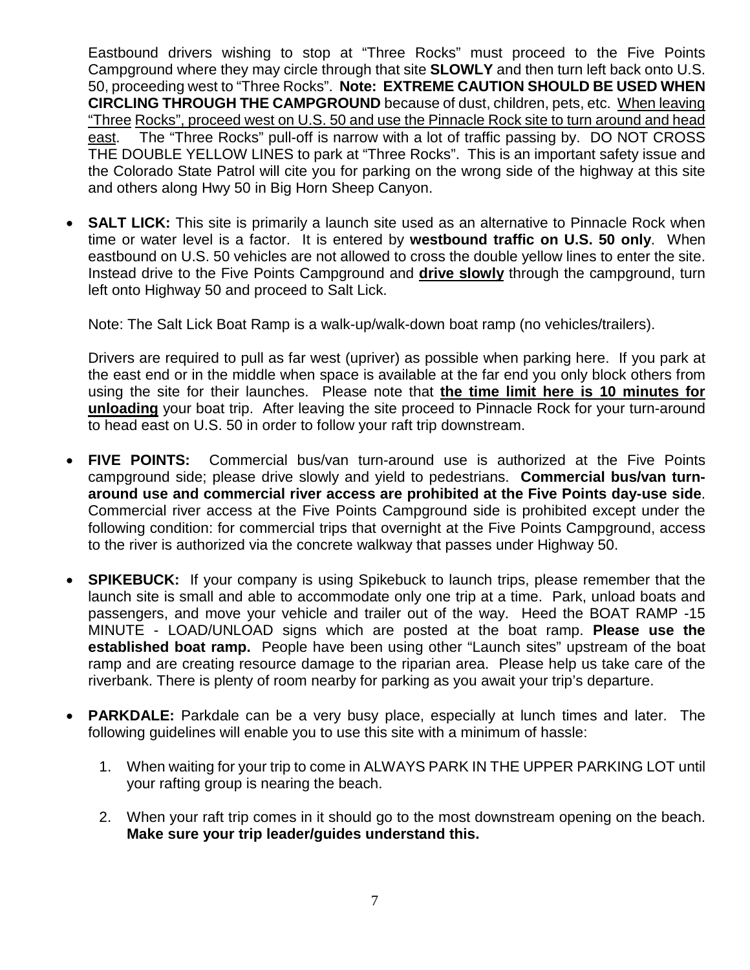Eastbound drivers wishing to stop at "Three Rocks" must proceed to the Five Points Campground where they may circle through that site **SLOWLY** and then turn left back onto U.S. 50, proceeding west to "Three Rocks". **Note: EXTREME CAUTION SHOULD BE USED WHEN CIRCLING THROUGH THE CAMPGROUND** because of dust, children, pets, etc. When leaving "Three Rocks", proceed west on U.S. 50 and use the Pinnacle Rock site to turn around and head east. The "Three Rocks" pull-off is narrow with a lot of traffic passing by. DO NOT CROSS THE DOUBLE YELLOW LINES to park at "Three Rocks". This is an important safety issue and the Colorado State Patrol will cite you for parking on the wrong side of the highway at this site and others along Hwy 50 in Big Horn Sheep Canyon.

**SALT LICK:** This site is primarily a launch site used as an alternative to Pinnacle Rock when time or water level is a factor. It is entered by **westbound traffic on U.S. 50 only**. When eastbound on U.S. 50 vehicles are not allowed to cross the double yellow lines to enter the site. Instead drive to the Five Points Campground and **drive slowly** through the campground, turn left onto Highway 50 and proceed to Salt Lick.

Note: The Salt Lick Boat Ramp is a walk-up/walk-down boat ramp (no vehicles/trailers).

Drivers are required to pull as far west (upriver) as possible when parking here. If you park at the east end or in the middle when space is available at the far end you only block others from using the site for their launches. Please note that **the time limit here is 10 minutes for unloading** your boat trip. After leaving the site proceed to Pinnacle Rock for your turn-around to head east on U.S. 50 in order to follow your raft trip downstream.

- **FIVE POINTS:** Commercial bus/van turn-around use is authorized at the Five Points campground side; please drive slowly and yield to pedestrians. **Commercial bus/van turnaround use and commercial river access are prohibited at the Five Points day-use side**. Commercial river access at the Five Points Campground side is prohibited except under the following condition: for commercial trips that overnight at the Five Points Campground, access to the river is authorized via the concrete walkway that passes under Highway 50.
- **SPIKEBUCK:** If your company is using Spikebuck to launch trips, please remember that the launch site is small and able to accommodate only one trip at a time. Park, unload boats and passengers, and move your vehicle and trailer out of the way. Heed the BOAT RAMP -15 MINUTE - LOAD/UNLOAD signs which are posted at the boat ramp. **Please use the established boat ramp.** People have been using other "Launch sites" upstream of the boat ramp and are creating resource damage to the riparian area. Please help us take care of the riverbank. There is plenty of room nearby for parking as you await your trip's departure.
- **PARKDALE:** Parkdale can be a very busy place, especially at lunch times and later. The following guidelines will enable you to use this site with a minimum of hassle:
	- 1. When waiting for your trip to come in ALWAYS PARK IN THE UPPER PARKING LOT until your rafting group is nearing the beach.
	- 2. When your raft trip comes in it should go to the most downstream opening on the beach. **Make sure your trip leader/guides understand this.**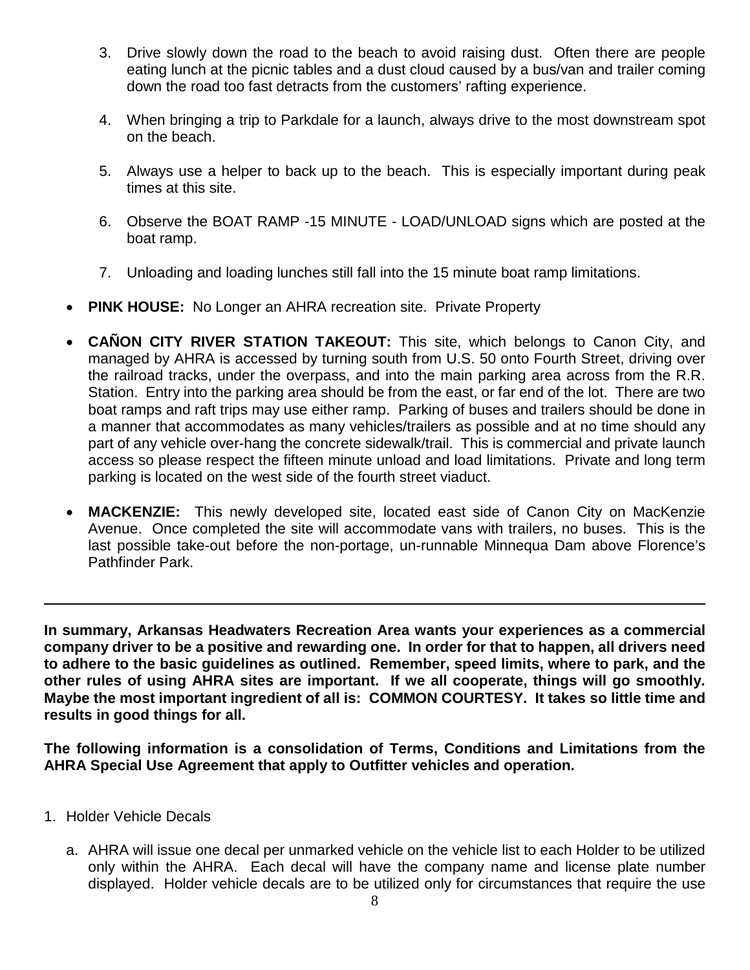- 3. Drive slowly down the road to the beach to avoid raising dust. Often there are people eating lunch at the picnic tables and a dust cloud caused by a bus/van and trailer coming down the road too fast detracts from the customers' rafting experience.
- 4. When bringing a trip to Parkdale for a launch, always drive to the most downstream spot on the beach.
- 5. Always use a helper to back up to the beach. This is especially important during peak times at this site.
- 6. Observe the BOAT RAMP -15 MINUTE LOAD/UNLOAD signs which are posted at the boat ramp.
- 7. Unloading and loading lunches still fall into the 15 minute boat ramp limitations.
- **PINK HOUSE:** No Longer an AHRA recreation site. Private Property
- **CAÑON CITY RIVER STATION TAKEOUT:** This site, which belongs to Canon City, and managed by AHRA is accessed by turning south from U.S. 50 onto Fourth Street, driving over the railroad tracks, under the overpass, and into the main parking area across from the R.R. Station. Entry into the parking area should be from the east, or far end of the lot. There are two boat ramps and raft trips may use either ramp. Parking of buses and trailers should be done in a manner that accommodates as many vehicles/trailers as possible and at no time should any part of any vehicle over-hang the concrete sidewalk/trail. This is commercial and private launch access so please respect the fifteen minute unload and load limitations. Private and long term parking is located on the west side of the fourth street viaduct.
- **MACKENZIE:** This newly developed site, located east side of Canon City on MacKenzie Avenue. Once completed the site will accommodate vans with trailers, no buses. This is the last possible take-out before the non-portage, un-runnable Minnequa Dam above Florence's Pathfinder Park.

**In summary, Arkansas Headwaters Recreation Area wants your experiences as a commercial company driver to be a positive and rewarding one. In order for that to happen, all drivers need to adhere to the basic guidelines as outlined. Remember, speed limits, where to park, and the other rules of using AHRA sites are important. If we all cooperate, things will go smoothly. Maybe the most important ingredient of all is: COMMON COURTESY. It takes so little time and results in good things for all.**

**The following information is a consolidation of Terms, Conditions and Limitations from the AHRA Special Use Agreement that apply to Outfitter vehicles and operation.**

- 1. Holder Vehicle Decals
	- a. AHRA will issue one decal per unmarked vehicle on the vehicle list to each Holder to be utilized only within the AHRA. Each decal will have the company name and license plate number displayed. Holder vehicle decals are to be utilized only for circumstances that require the use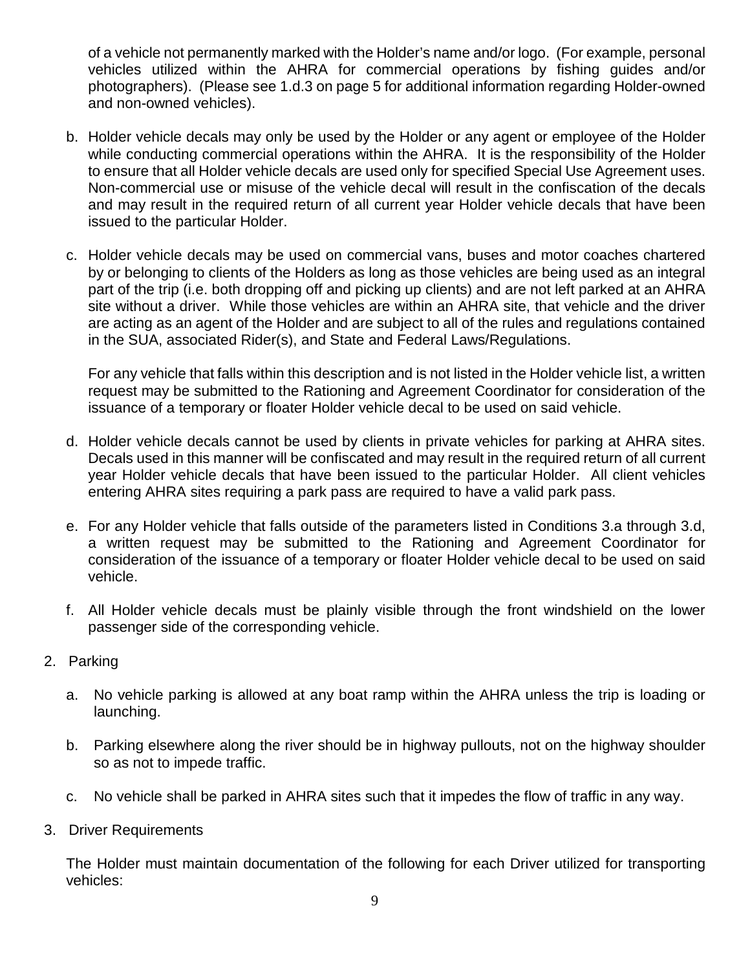of a vehicle not permanently marked with the Holder's name and/or logo. (For example, personal vehicles utilized within the AHRA for commercial operations by fishing guides and/or photographers). (Please see 1.d.3 on page 5 for additional information regarding Holder-owned and non-owned vehicles).

- b. Holder vehicle decals may only be used by the Holder or any agent or employee of the Holder while conducting commercial operations within the AHRA. It is the responsibility of the Holder to ensure that all Holder vehicle decals are used only for specified Special Use Agreement uses. Non-commercial use or misuse of the vehicle decal will result in the confiscation of the decals and may result in the required return of all current year Holder vehicle decals that have been issued to the particular Holder.
- c. Holder vehicle decals may be used on commercial vans, buses and motor coaches chartered by or belonging to clients of the Holders as long as those vehicles are being used as an integral part of the trip (i.e. both dropping off and picking up clients) and are not left parked at an AHRA site without a driver. While those vehicles are within an AHRA site, that vehicle and the driver are acting as an agent of the Holder and are subject to all of the rules and regulations contained in the SUA, associated Rider(s), and State and Federal Laws/Regulations.

For any vehicle that falls within this description and is not listed in the Holder vehicle list, a written request may be submitted to the Rationing and Agreement Coordinator for consideration of the issuance of a temporary or floater Holder vehicle decal to be used on said vehicle.

- d. Holder vehicle decals cannot be used by clients in private vehicles for parking at AHRA sites. Decals used in this manner will be confiscated and may result in the required return of all current year Holder vehicle decals that have been issued to the particular Holder. All client vehicles entering AHRA sites requiring a park pass are required to have a valid park pass.
- e. For any Holder vehicle that falls outside of the parameters listed in Conditions 3.a through 3.d, a written request may be submitted to the Rationing and Agreement Coordinator for consideration of the issuance of a temporary or floater Holder vehicle decal to be used on said vehicle.
- f. All Holder vehicle decals must be plainly visible through the front windshield on the lower passenger side of the corresponding vehicle.
- 2. Parking
	- a. No vehicle parking is allowed at any boat ramp within the AHRA unless the trip is loading or launching.
	- b. Parking elsewhere along the river should be in highway pullouts, not on the highway shoulder so as not to impede traffic.
	- c. No vehicle shall be parked in AHRA sites such that it impedes the flow of traffic in any way.
- 3. Driver Requirements

The Holder must maintain documentation of the following for each Driver utilized for transporting vehicles: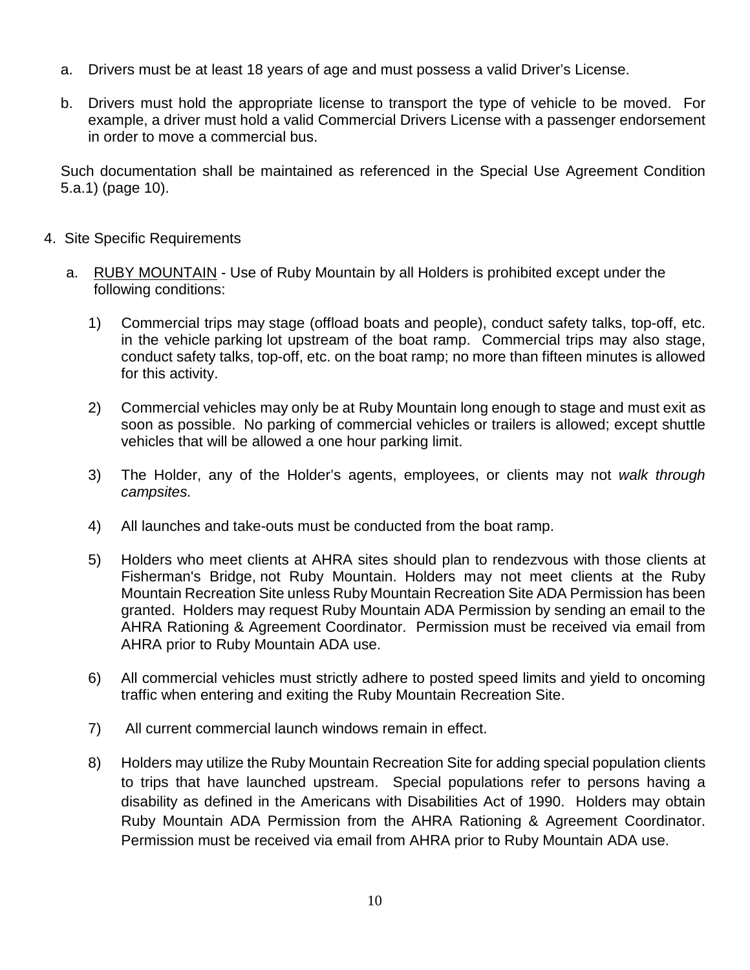- a. Drivers must be at least 18 years of age and must possess a valid Driver's License.
- b. Drivers must hold the appropriate license to transport the type of vehicle to be moved. For example, a driver must hold a valid Commercial Drivers License with a passenger endorsement in order to move a commercial bus.

Such documentation shall be maintained as referenced in the Special Use Agreement Condition 5.a.1) (page 10).

- 4. Site Specific Requirements
	- a. RUBY MOUNTAIN Use of Ruby Mountain by all Holders is prohibited except under the following conditions:
		- 1) Commercial trips may stage (offload boats and people), conduct safety talks, top-off, etc. in the vehicle parking lot upstream of the boat ramp. Commercial trips may also stage, conduct safety talks, top-off, etc. on the boat ramp; no more than fifteen minutes is allowed for this activity.
		- 2) Commercial vehicles may only be at Ruby Mountain long enough to stage and must exit as soon as possible. No parking of commercial vehicles or trailers is allowed; except shuttle vehicles that will be allowed a one hour parking limit.
		- 3) The Holder, any of the Holder's agents, employees, or clients may not *walk through campsites.*
		- 4) All launches and take-outs must be conducted from the boat ramp.
		- 5) Holders who meet clients at AHRA sites should plan to rendezvous with those clients at Fisherman's Bridge, not Ruby Mountain. Holders may not meet clients at the Ruby Mountain Recreation Site unless Ruby Mountain Recreation Site ADA Permission has been granted. Holders may request Ruby Mountain ADA Permission by sending an email to the AHRA Rationing & Agreement Coordinator. Permission must be received via email from AHRA prior to Ruby Mountain ADA use.
		- 6) All commercial vehicles must strictly adhere to posted speed limits and yield to oncoming traffic when entering and exiting the Ruby Mountain Recreation Site.
		- 7) All current commercial launch windows remain in effect.
		- 8) Holders may utilize the Ruby Mountain Recreation Site for adding special population clients to trips that have launched upstream. Special populations refer to persons having a disability as defined in the Americans with Disabilities Act of 1990. Holders may obtain Ruby Mountain ADA Permission from the AHRA Rationing & Agreement Coordinator. Permission must be received via email from AHRA prior to Ruby Mountain ADA use.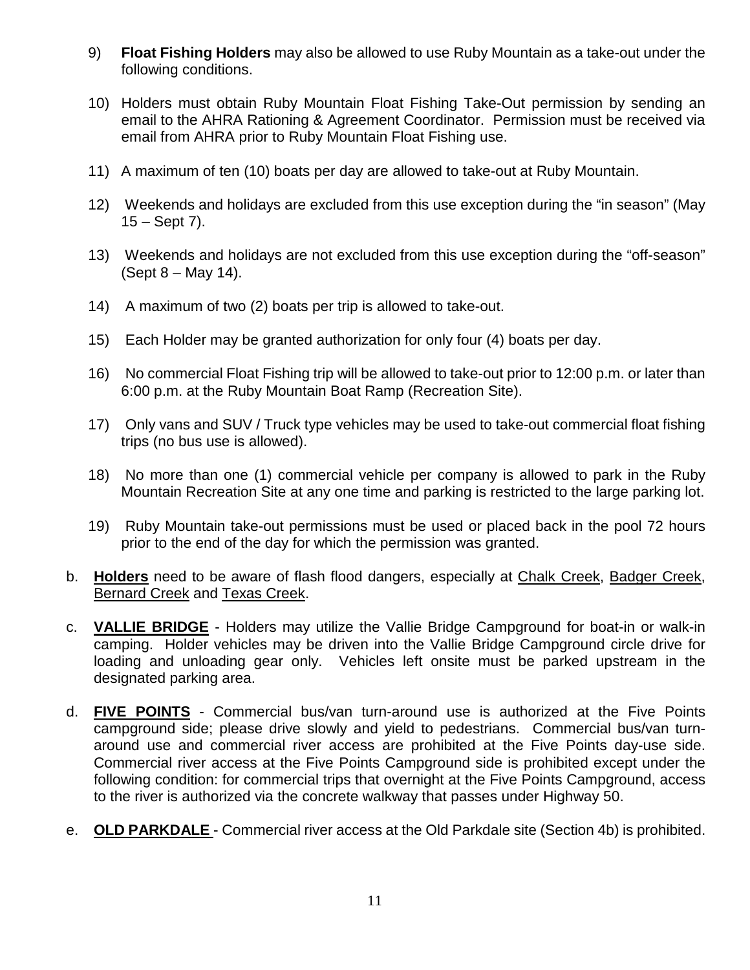- 9) **Float Fishing Holders** may also be allowed to use Ruby Mountain as a take-out under the following conditions.
- 10) Holders must obtain Ruby Mountain Float Fishing Take-Out permission by sending an email to the AHRA Rationing & Agreement Coordinator. Permission must be received via email from AHRA prior to Ruby Mountain Float Fishing use.
- 11) A maximum of ten (10) boats per day are allowed to take-out at Ruby Mountain.
- 12) Weekends and holidays are excluded from this use exception during the "in season" (May  $15 -$  Sept 7).
- 13) Weekends and holidays are not excluded from this use exception during the "off-season" (Sept 8 – May 14).
- 14) A maximum of two (2) boats per trip is allowed to take-out.
- 15) Each Holder may be granted authorization for only four (4) boats per day.
- 16) No commercial Float Fishing trip will be allowed to take-out prior to 12:00 p.m. or later than 6:00 p.m. at the Ruby Mountain Boat Ramp (Recreation Site).
- 17) Only vans and SUV / Truck type vehicles may be used to take-out commercial float fishing trips (no bus use is allowed).
- 18) No more than one (1) commercial vehicle per company is allowed to park in the Ruby Mountain Recreation Site at any one time and parking is restricted to the large parking lot.
- 19) Ruby Mountain take-out permissions must be used or placed back in the pool 72 hours prior to the end of the day for which the permission was granted.
- b. **Holders** need to be aware of flash flood dangers, especially at Chalk Creek, Badger Creek, Bernard Creek and Texas Creek.
- c. **VALLIE BRIDGE** Holders may utilize the Vallie Bridge Campground for boat-in or walk-in camping. Holder vehicles may be driven into the Vallie Bridge Campground circle drive for loading and unloading gear only. Vehicles left onsite must be parked upstream in the designated parking area.
- d. **FIVE POINTS** Commercial bus/van turn-around use is authorized at the Five Points campground side; please drive slowly and yield to pedestrians. Commercial bus/van turnaround use and commercial river access are prohibited at the Five Points day-use side. Commercial river access at the Five Points Campground side is prohibited except under the following condition: for commercial trips that overnight at the Five Points Campground, access to the river is authorized via the concrete walkway that passes under Highway 50.
- e. **OLD PARKDALE**  Commercial river access at the Old Parkdale site (Section 4b) is prohibited.